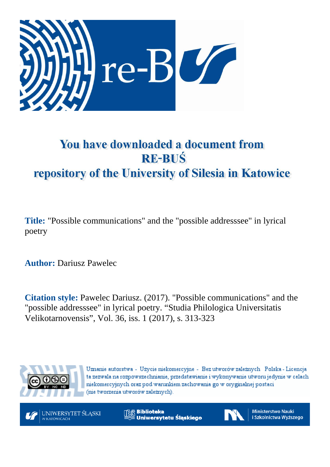

# You have downloaded a document from **RE-BUŚ** repository of the University of Silesia in Katowice

**Title:** "Possible communications" and the "possible addresssee" in lyrical poetry

**Author:** Dariusz Pawelec

**Citation style:** Pawelec Dariusz. (2017). "Possible communications" and the "possible addresssee" in lyrical poetry. "Studia Philologica Universitatis Velikotarnovensis", Vol. 36, iss. 1 (2017), s. 313-323



Uznanie autorstwa - Użycie niekomercyjne - Bez utworów zależnych Polska - Licencja ta zezwala na rozpowszechnianie, przedstawianie i wykonywanie utworu jedynie w celach niekomercyjnych oraz pod warunkiem zachowania go w oryginalnej postaci (nie tworzenia utworów zależnych).



**Biblioteka** Uniwersytetu Śląskiego



**Ministerstwo Nauki** i Szkolnictwa Wyższego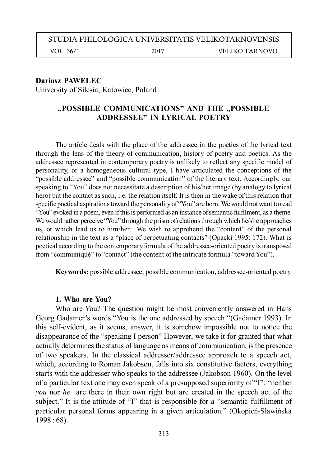### STUDIA PHILOLOGICA UNIVERSITATIS VELIKOTARNOVENSIS

VOL. 36/1 2017 VELIKO TARNOVO

#### **Dariusz PAWELEC**

University of Silesia, Katowice, Poland

### "POSSIBLE COMMUNICATIONS" AND THE "POSSIBLE **ADDRESSEE" IN LYRICAL POETRY**

The article deals with the place of the addressee in the poetics of the lyrical text through the lens of the theory of communication, history of poetry and poetics. As the addressee represented in contemporary poetry is unlikely to reflect any specific model of personality, or a homogeneous cultural type, I have articulated the conceptions of the "possible addressee" and "possible communication" of the literary text. Accordingly, our speaking to "You" does not necessitate a description of his/her image (by analogy to lyrical hero) but the contact as such, i.e. the relation itself. It is then in the wake of this relation that specific poetical aspirations toward the personality of "You" are born. We would not want to read "You" evoked in a poem, even if this is performed as an instance of semantic fulfilment, as a theme. We would rather perceive "You" through the prism of relations through which he/she approaches us, or which lead us to him/her. We wish to apprehend the "content" of the personal relationship in the text as a "place of perpetuating contacts" (Opacki 1995: 172). What is poetical according to the contemporary formula of the addressee-oriented poetry is transposed from "communiqué" to "contact" (the content of the intricate formula "toward You").

**Keywords:** possible addressee, possible communication, addressee-oriented poetry

#### **1. Who are You?**

Who are You? The question might be most conveniently answered in Hans Georg Gadamer's words "You is the one addressed by speech "(Gadamer 1993). In this self-evident, as it seems, answer, it is somehow impossible not to notice the disappearance of the "speaking I person" However, we take it for granted that what actually determines the status of language as means of communication, is the presence of two speakers. In the classical addresser/addressee approach to a speech act, which, according to Roman Jakobson, falls into six constitutive factors, everything starts with the addresser who speaks to the addressee (Jakobson 1960). On the level of a particular text one may even speak of a presupposed superiority of "I": "neither *you* nor *he* are there in their own right but are created in the speech act of the subject." It is the attitude of "I" that is responsible for a "semantic fulfillment of particular personal forms appearing in a given articulation." (Okopień-Sławińska 1998 : 68).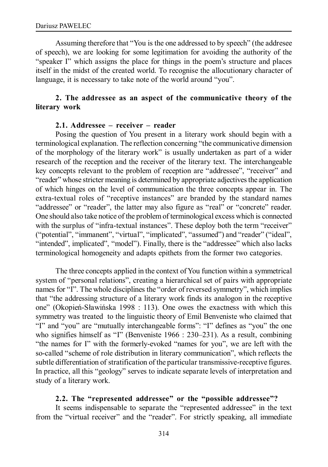Assuming therefore that "You is the one addressed to by speech" (the addresee of speech), we are looking for some legitimation for avoiding the authority of the "speaker I" which assigns the place for things in the poem's structure and places itself in the midst of the created world. To recognise the allocutionary character of language, it is necessary to take note of the world around "you".

## **2. The addressee as an aspect of the communicative theory of the literary work**

#### **2.1. Addressee – receiver – reader**

Posing the question of You present in a literary work should begin with a terminological explanation. The reflection concerning "the communicative dimension of the morphology of the literary work" is usually undertaken as part of a wider research of the reception and the receiver of the literary text. The interchangeable key concepts relevant to the problem of reception are "addressee", "receiver" and "reader" whose stricter meaning is determined by appropriate adjectives the application of which hinges on the level of communication the three concepts appear in. The extra-textual roles of "receptive instances" are branded by the standard names "addressee" or "reader", the latter may also figure as "real" or "concrete" reader. One should also take notice of the problem of terminological excess which is connected with the surplus of "infra-textual instances". These deploy both the term "receiver" ("potential", "immanent", "virtual", "implicated", "assumed") and "reader" ("ideal", "intended", implicated", "model"). Finally, there is the "addressee" which also lacks terminological homogeneity and adapts epithets from the former two categories.

The three concepts applied in the context of You function within a symmetrical system of "personal relations", creating a hierarchical set of pairs with appropriate names for "I". The whole disciplines the "order of reversed symmetry", which implies that "the addressing structure of a literary work finds its analogon in the receptive one" (Okopień-Sławińska 1998 : 113). One owes the exactness with which this symmetry was treated to the linguistic theory of Emil Benveniste who claimed that "I" and "you" are "mutually interchangeable forms": "I" defines as "you" the one who signifies himself as "I" (Benveniste 1966 : 230–231). As a result, combining "the names for I" with the formerly-evoked "names for you", we are left with the so-called "scheme of role distribution in literary communication", which reflects the subtle differentiation of stratification of the particular transmissive-receptive figures. In practice, all this "geology" serves to indicate separate levels of interpretation and study of a literary work.

#### **2.2. The "represented addressee" or the "possible addressee"?**

It seems indispensable to separate the "represented addressee" in the text from the "virtual receiver" and the "reader". For strictly speaking, all immediate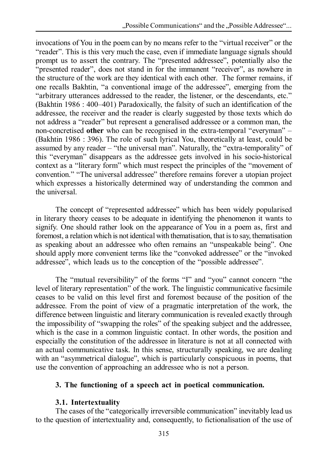invocations of You in the poem can by no means refer to the "virtual receiver" or the "reader". This is this very much the case, even if immediate language signals should prompt us to assert the contrary. The "presented addressee", potentially also the "presented reader", does not stand in for the immanent "receiver", as nowhere in the structure of the work are they identical with each other. The former remains, if one recalls Bakhtin, "a conventional image of the addressee", emerging from the "arbitrary utterances addressed to the reader, the listener, or the descendants, etc." (Bakhtin 1986 : 400–401) Paradoxically, the falsity of such an identification of the addressee, the receiver and the reader is clearly suggested by those texts which do not address a "reader" but represent a generalised addressee or a common man, the non-concretised **other** who can be recognised in the extra-temporal "everyman" – (Bakhtin 1986 : 396). The role of such lyrical You, theoretically at least, could be assumed by any reader – "the universal man". Naturally, the "extra-temporality" of this "everyman" disappears as the addressee gets involved in his socio-historical context as a "literary form" which must respect the principles of the "movement of convention." "The universal addressee" therefore remains forever a utopian project which expresses a historically determined way of understanding the common and the universal.

The concept of "represented addressee" which has been widely popularised in literary theory ceases to be adequate in identifying the phenomenon it wants to signify. One should rather look on the appearance of You in a poem as, first and foremost, a relation which is not identical with thematisation, that is to say, thematisation as speaking about an addressee who often remains an "unspeakable being". One should apply more convenient terms like the "convoked addressee" or the "invoked addressee", which leads us to the conception of the "possible addressee".

The "mutual reversibility" of the forms "I" and "you" cannot concern "the level of literary representation" of the work. The linguistic communicative facsimile ceases to be valid on this level first and foremost because of the position of the addressee. From the point of view of a pragmatic interpretation of the work, the difference between linguistic and literary communication is revealed exactly through the impossibility of "swapping the roles" of the speaking subject and the addressee, which is the case in a common linguistic contact. In other words, the position and especially the constitution of the addressee in literature is not at all connected with an actual communicative task. In this sense, structurally speaking, we are dealing with an "asymmetrical dialogue", which is particularly conspicuous in poems, that use the convention of approaching an addressee who is not a person.

# **3. The functioning of a speech act in poetical communication.**

# **3.1. Intertextuality**

The cases of the "categorically irreversible communication" inevitably lead us to the question of intertextuality and, consequently, to fictionalisation of the use of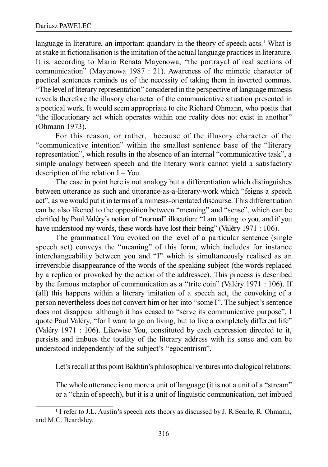language in literature, an important quandary in the theory of speech acts.<sup>1</sup> What is at stake in fictionalisation is the imitation of the actual language practices in literature. It is, according to Maria Renata Mayenowa, "the portrayal of real sections of communication" (Mayenowa 1987 : 21). Awareness of the mimetic character of poetical sentences reminds us of the necessity of taking them in inverted commas. "The level of literary representation" considered in the perspective of language mimesis reveals therefore the illusory character of the communicative situation presented in a poetical work. It would seem appropriate to cite Richard Ohmann, who posits that "the illocutionary act which operates within one reality does not exist in another" (Ohmann 1973).

For this reason, or rather, because of the illusory character of the "communicative intention" within the smallest sentence base of the "literary representation", which results in the absence of an internal "communicative task", a simple analogy between speech and the literary work cannot yield a satisfactory description of the relation  $I - You$ .

The case in point here is not analogy but a differentiation which distinguishes between utterance as such and utterance-as-a-literary-work which "feigns a speech act", as we would put it in terms of a mimesis-orientated discourse. This differentiation can be also likened to the opposition between "meaning" and "sense", which can be clarified by Paul Valéry's notion of "normal" illocution: "I am talking to you, and if you have understood my words, these words have lost their being" (Valéry 1971 : 106).

The grammatical You evoked on the level of a particular sentence (single speech act) conveys the "meaning" of this form, which includes for instance interchangeability between you and "I" which is simultaneously realised as an irreversible disappearance of the words of the speaking subject (the words replaced by a replica or provoked by the action of the addressee). This process is described by the famous metaphor of communication as a "trite coin" (Valéry 1971 : 106). If (all) this happens within a literary imitation of a speech act, the convoking of a person nevertheless does not convert him or her into "some I". The subject's sentence does not disappear although it has ceased to "serve its communicative purpose", I quote Paul Valéry, "for I want to go on living, but to live a completely different life" (Valéry 1971 : 106). Likewise You, constituted by each expression directed to it, persists and imbues the totality of the literary address with its sense and can be understood independently of the subject's "egocentrism".

Let's recall at this point Bakhtin's philosophical ventures into dialogical relations:

The whole utterance is no more a unit of language (it is not a unit of a "stream" or a "chain of speech), but it is a unit of linguistic communication, not imbued

<sup>&</sup>lt;sup>1</sup> I refer to J.L. Austin's speech acts theory as discussed by J. R. Searle, R. Ohmann, and M.C. Beardsley.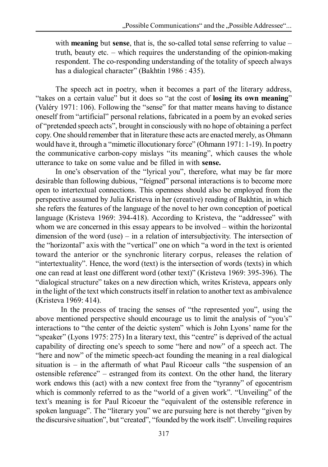with **meaning** but **sense**, that is, the so-called total sense referring to value – truth, beauty etc. – which requires the understanding of the opinion-making respondent. The co-responding understanding of the totality of speech always has a dialogical character" (Bakhtin 1986 : 435).

The speech act in poetry, when it becomes a part of the literary address, "takes on a certain value" but it does so "at the cost of **losing its own meaning**" (Valéry 1971: 106). Following the "sense" for that matter means having to distance oneself from "artificial" personal relations, fabricated in a poem by an evoked series of "pretended speech acts", brought in consciously with no hope of obtaining a perfect copy. One should remember that in literature these acts are enacted merely, as Ohmann would have it, through a "mimetic illocutionary force" (Ohmann 1971: 1-19). In poetry the communicative carbon-copy mislays "its meaning", which causes the whole utterance to take on some value and be filled in with **sense.**

In one's observation of the "lyrical you", therefore, what may be far more desirable than following dubious, "feigned" personal interactions is to become more open to intertextual connections. This openness should also be employed from the perspective assumed by Julia Kristeva in her (creative) reading of Bakhtin, in which she refers the features of the language of the novel to her own conception of poetical language (Kristeva 1969: 394-418). According to Kristeva, the "addressee" with whom we are concerned in this essay appears to be involved – within the horizontal dimension of the word (use) – in a relation of intersubjectivity. The intersection of the "horizontal" axis with the "vertical" one on which "a word in the text is oriented toward the anterior or the synchronic literary corpus, releases the relation of "intertextuality". Hence, the word (text) is the intersection of words (texts) in which one can read at least one different word (other text)" (Kristeva 1969: 395-396). The "dialogical structure" takes on a new direction which, writes Kristeva, appears only in the light of the text which constructs itself in relation to another text as ambivalence (Kristeva 1969: 414).

In the process of tracing the senses of "the represented you", using the above mentioned perspective should encourage us to limit the analysis of "you's" interactions to "the center of the deictic system" which is John Lyons' name for the "speaker" (Lyons 1975: 275) In a literary text, this "centre" is deprived of the actual capability of directing one's speech to some "here and now" of a speech act. The "here and now" of the mimetic speech-act founding the meaning in a real dialogical situation is – in the aftermath of what Paul Ricoeur calls "the suspension of an ostensible reference" – estranged from its context. On the other hand, the literary work endows this (act) with a new context free from the "tyranny" of egocentrism which is commonly referred to as the "world of a given work". "Unveiling" of the text's meaning is for Paul Ricoeur the "equivalent of the ostensible reference in spoken language". The "literary you" we are pursuing here is not thereby "given by the discursive situation", but "created", "founded by the work itself". Unveiling requires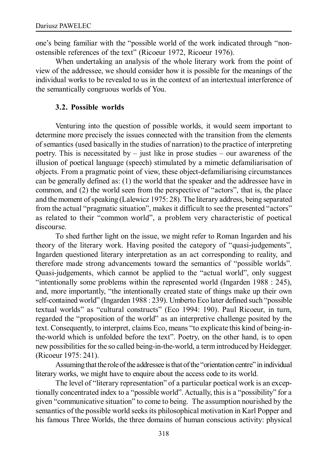one's being familiar with the "possible world of the work indicated through "nonostensible references of the text" (Ricoeur 1972, Ricoeur 1976).

When undertaking an analysis of the whole literary work from the point of view of the addressee, we should consider how it is possible for the meanings of the individual works to be revealed to us in the context of an intertextual interference of the semantically congruous worlds of You.

## **3.2. Possible worlds**

Venturing into the question of possible worlds, it would seem important to determine more precisely the issues connected with the transition from the elements of semantics (used basically in the studies of narration) to the practice of interpreting poetry. This is necessitated by – just like in prose studies – our awareness of the illusion of poetical language (speech) stimulated by a mimetic defamiliarisation of objects. From a pragmatic point of view, these object-defamiliarising circumstances can be generally defined as: (1) the world that the speaker and the addressee have in common, and (2) the world seen from the perspective of "actors", that is, the place and the moment of speaking (Lalewicz 1975: 28). The literary address, being separated from the actual "pragmatic situation", makes it difficult to see the presented "actors" as related to their "common world", a problem very characteristic of poetical discourse.

To shed further light on the issue, we might refer to Roman Ingarden and his theory of the literary work. Having posited the category of "quasi-judgements", Ingarden questioned literary interpretation as an act corresponding to reality, and therefore made strong advancements toward the semantics of "possible worlds". Quasi-judgements, which cannot be applied to the "actual world", only suggest "intentionally some problems within the represented world (Ingarden 1988 : 245), and, more importantly, "the intentionally created state of things make up their own self-contained world" (Ingarden 1988 : 239). Umberto Eco later defined such "possible textual worlds" as "cultural constructs" (Eco 1994: 190). Paul Ricoeur, in turn, regarded the "proposition of the world" as an interpretive challenge posited by the text. Consequently, to interpret, claims Eco, means "to explicate this kind of being-inthe-world which is unfolded before the text". Poetry, on the other hand, is to open new possibilities for the so called being-in-the-world, a term introduced by Heidegger. (Ricoeur 1975: 241).

Assuming that the role of the addressee is that of the "orientation centre" in individual literary works, we might have to enquire about the access code to its world.

The level of "literary representation" of a particular poetical work is an exceptionally concentrated index to a "possible world". Actually, this is a "possibility" for a given "communicative situation" to come to being. The assumption nourished by the semantics of the possible world seeks its philosophical motivation in Karl Popper and his famous Three Worlds, the three domains of human conscious activity: physical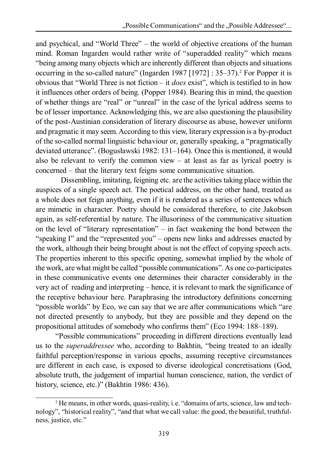and psychical, and "World Three" – the world of objective creations of the human mind. Roman Ingarden would rather write of "superadded reality" which means "being among many objects which are inherently different than objects and situations occurring in the so-called nature" (Ingarden 1987 [1972] : 35–37).<sup>2</sup> For Popper it is obvious that "World Three is not fiction – it *does* exist", which is testified to in how it influences other orders of being. (Popper 1984). Bearing this in mind, the question of whether things are "real" or "unreal" in the case of the lyrical address seems to be of lesser importance. Acknowledging this, we are also questioning the plausibility of the post-Austinian consideration of literary discourse as abuse, however uniform and pragmatic it may seem. According to this view, literary expression is a by-product of the so-called normal linguistic behaviour or, generally speaking, a "pragmatically deviated utterance". (Bogusławski 1982: 131–164). Once this is mentioned, it would also be relevant to verify the common view – at least as far as lyrical poetry is concerned – that the literary text feigns some communicative situation.

Dissembling, imitating, feigning etc. are the activities taking place within the auspices of a single speech act. The poetical address, on the other hand, treated as a whole does not feign anything, even if it is rendered as a series of sentences which are mimetic in character. Poetry should be considered therefore, to cite Jakobson again, as self-referential by nature. The illusoriness of the communicative situation on the level of "literary representation" – in fact weakening the bond between the "speaking I" and the "represented you" – opens new links and addresses enacted by the work, although their being brought about is not the effect of copying speech acts. The properties inherent to this specific opening, somewhat implied by the whole of the work, are what might be called "possible communications". As one co-participates in these communicative events one determines their character considerably in the very act of reading and interpreting – hence, it is relevant to mark the significance of the receptive behaviour here. Paraphrasing the introductory definitions concerning "possible worlds" by Eco, we can say that we are after communications which "are not directed presently to anybody, but they are possible and they depend on the propositional attitudes of somebody who confirms them" (Eco 1994: 188–189).

"Possible communications" proceeding in different directions eventually lead us to the *superaddressee* who, according to Bakhtin, "being treated to an ideally faithful perception/response in various epochs, assuming receptive circumstances are different in each case, is exposed to diverse ideological concretisations (God, absolute truth, the judgement of impartial human conscience, nation, the verdict of history, science, etc.)" (Bakhtin 1986: 436).

<sup>2</sup> He means, in other words, quasi-reality, i.e. "domains of arts, science, law and technology", "historical reality", "and that what we call value: the good, the beautiful, truthfulness, justice, etc."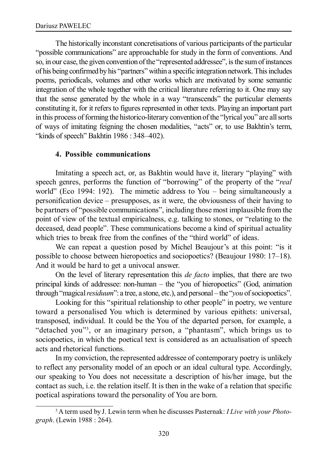The historically inconstant concretisations of various participants of the particular "possible communications" are approachable for study in the form of conventions. And so, in our case, the given convention of the "represented addressee", is the sum of instances of his being confirmed by his "partners" within a specific integration network. This includes poems, periodicals, volumes and other works which are motivated by some semantic integration of the whole together with the critical literature referring to it. One may say that the sense generated by the whole in a way "transcends" the particular elements constituting it, for it refers to figures represented in other texts. Playing an important part in this process of forming the historico-literary convention of the "lyrical you" are all sorts of ways of imitating feigning the chosen modalities, "acts" or, to use Bakhtin's term, "kinds of speech" Bakhtin 1986 : 348–402).

# **4. Possible communications**

Imitating a speech act, or, as Bakhtin would have it, literary "playing" with speech genres, performs the function of "borrowing" of the property of the "*real* world" (Eco 1994: 192). The mimetic address to You – being simultaneously a personification device – presupposes, as it were, the obviousness of their having to be partners of "possible communications", including those most implausible from the point of view of the textual empiricalness, e.g. talking to stones, or "relating to the deceased, dead people". These communications become a kind of spiritual actuality which tries to break free from the confines of the "third world" of ideas.

We can repeat a question posed by Michel Beaujour's at this point: "is it possible to choose between hieropoetics and sociopoetics? (Beaujour 1980: 17–18). And it would be hard to get a univocal answer.

On the level of literary representation this *de facto* implies, that there are two principal kinds of addressee: non-human – the "you of hieropoetics" (God, animation through "magical *residuum*": a tree, a stone, etc.), and personal – the "*you* of sociopoetics".

Looking for this "spiritual relationship to other people" in poetry, we venture toward a personalised You which is determined by various epithets: universal, transposed, individual. It could be the You of the departed person, for example, a "detached you"<sup>3</sup> , or an imaginary person, a "phantasm", which brings us to sociopoetics, in which the poetical text is considered as an actualisation of speech acts and rhetorical functions.

In my conviction, the represented addressee of contemporary poetry is unlikely to reflect any personality model of an epoch or an ideal cultural type. Accordingly, our speaking to You does not necessitate a description of his/her image, but the contact as such, i.e. the relation itself. It is then in the wake of a relation that specific poetical aspirations toward the personality of You are born.

<sup>3</sup> A term used by J. Lewin term when he discusses Pasternak: *I Live with your Photograph*. (Lewin 1988 : 264).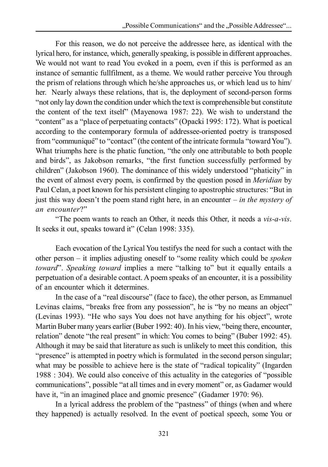For this reason, we do not perceive the addressee here, as identical with the lyrical hero, for instance, which, generally speaking, is possible in different approaches. We would not want to read You evoked in a poem, even if this is performed as an instance of semantic fullfilment, as a theme. We would rather perceive You through the prism of relations through which he/she approaches us, or which lead us to him/ her. Nearly always these relations, that is, the deployment of second-person forms "not only lay down the condition under which the text is comprehensible but constitute the content of the text itself" (Mayenowa 1987: 22). We wish to understand the "content" as a "place of perpetuating contacts" (Opacki 1995: 172). What is poetical according to the contemporary formula of addressee-oriented poetry is transposed from "communiqué" to "contact" (the content of the intricate formula "toward You"). What triumphs here is the phatic function, "the only one attributable to both people and birds", as Jakobson remarks, "the first function successfully performed by children" (Jakobson 1960). The dominance of this widely understood "phaticity" in the event of almost every poem, is confirmed by the question posed in *Meridian* by Paul Celan, a poet known for his persistent clinging to apostrophic structures: "But in just this way doesn't the poem stand right here, in an encounter – *in the mystery of an encounter*?"

"The poem wants to reach an Other, it needs this Other, it needs a *vis-a-vis*. It seeks it out, speaks toward it" (Celan 1998: 335).

Each evocation of the Lyrical You testifys the need for such a contact with the other person – it implies adjusting oneself to "some reality which could be *spoken toward*". *Speaking toward* implies a mere "talking to" but it equally entails a perpetuation of a desirable contact. A poem speaks of an encounter, it is a possibility of an encounter which it determines.

In the case of a "real discourse" (face to face), the other person, as Emmanuel Levinas claims, "breaks free from any possession", he is "by no means an object" (Levinas 1993). "He who says You does not have anything for his object", wrote Martin Buber many years earlier (Buber 1992: 40). In his view, "being there, encounter, relation" denote "the real present" in which: You comes to being" (Buber 1992: 45). Although it may be said that literature as such is unlikely to meet this condition, this "presence" is attempted in poetry which is formulated in the second person singular; what may be possible to achieve here is the state of "radical topicality" (Ingarden 1988 : 304). We could also conceive of this actuality in the categories of "possible communications", possible "at all times and in every moment" or, as Gadamer would have it, "in an imagined place and gnomic presence" (Gadamer 1970: 96).

In a lyrical address the problem of the "pastness" of things (when and where they happened) is actually resolved. In the event of poetical speech, some You or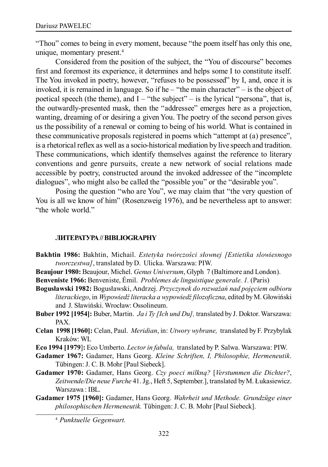"Thou" comes to being in every moment, because "the poem itself has only this one, unique, momentary present.<sup>4</sup>

Considered from the position of the subject, the "You of discourse" becomes first and foremost its experience, it determines and helps some I to constitute itself. The You invoked in poetry, however, "refuses to be possessed" by I, and, once it is invoked, it is remained in language. So if he – "the main character" – is the object of poetical speech (the theme), and  $I - "the subject" - is the typical "persona", that is,$ the outwardly-presented mask, then the "addressee" emerges here as a projection, wanting, dreaming of or desiring a given You. The poetry of the second person gives us the possibility of a renewal or coming to being of his world. What is contained in these communicative proposals registered in poems which "attempt at (a) presence", is a rhetorical reflex as well as a socio-historical mediation by live speech and tradition. These communications, which identify themselves against the reference to literary conventions and genre pursuits, create a new network of social relations made accessible by poetry, constructed around the invoked addressee of the "incomplete dialogues", who might also be called the "possible you" or the "desirable you".

Posing the question "who are You", we may claim that "the very question of You is all we know of him" (Rosenzweig 1976), and be nevertheless apt to answer: "the whole world."

#### **ЛИТЕРАТУРА // BIBLIOGRAPHY**

- **Bakhtin 1986:** Bakhtin, Michail. *Estetyka twórczości słownej [Estietika slowiesnogo tworczestwa]*, translated by D. Ulicka. Warszawa: PIW.
- **Beaujour 1980:** Beaujour, Michel. *Genus Universum*, Glyph 7 (Baltimore and London).

**Benveniste 1966:** Benveniste, Émil. *Problemes de linguistique generale. 1.* (Paris)

- **Bogusławski 1982:** Bogusławski, Andrzej. *Przyczynek do rozważań nad pojęciem odbioru literackiego*, in *Wypowiedź literacka a wypowiedź filozoficzna*, edited by M. Głowiński and J. Sławiński. Wrocław: Ossolineum.
- **Buber 1992 [1954]:** Buber, Martin. *Ja i Ty [Ich und Du],* translated by J. Doktor. Warszawa: PAX.
- **Celan 1998 [1960]:** Celan, Paul. *Meridian*, in: *Utwory wybrane,* translated by F. Przybylak Kraków: WL
- **Eco 1994 [1979**]**:** Eco Umberto. *Lector in fabula,* translated by P. Salwa. Warszawa: PIW.
- **Gadamer 1967:** Gadamer, Hans Georg. *Kleine Schriften, I, Philosophie, Hermeneutik*. Tübingen: J. C. B. Mohr [Paul Siebeck].
- **Gadamer 1970:** Gadamer, Hans Georg. *Czy poeci milkną?* [*Verstummen die Dichter?*, *Zeitwende/Die neue Furche* 41. Jg., Heft 5, September.], translated by M. Łukasiewicz. Warszawa : IBL.
- **Gadamer 1975 [1960]:** Gadamer, Hans Georg. *Wahrheit und Methode. Grundzüge einer philosophischen Hermeneutik.* Tübingen: J. C. B. Mohr [Paul Siebeck].

<sup>4</sup> *Punktuelle Gegenwart.*